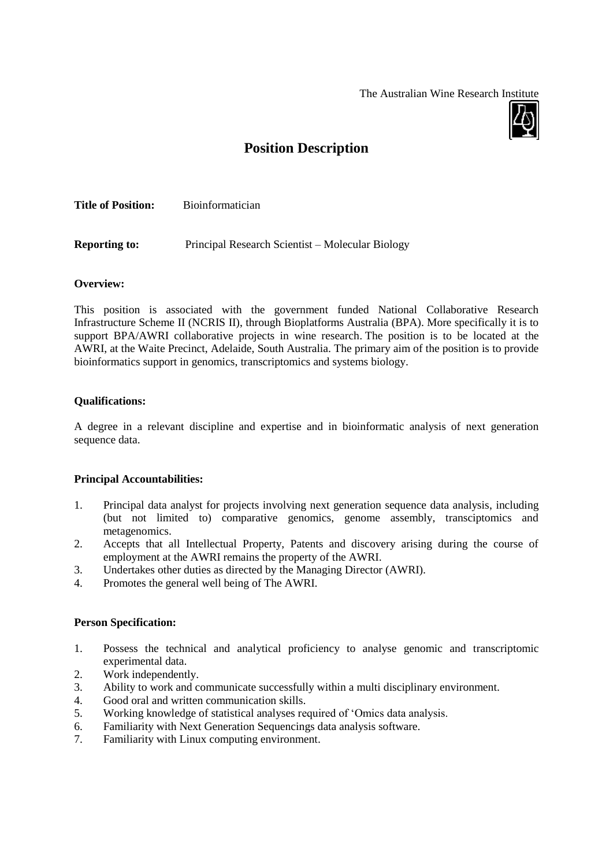The Australian Wine Research Institute



# **Position Description**

| <b>Title of Position:</b> | <b>Bioinformatician</b> |  |
|---------------------------|-------------------------|--|
|                           |                         |  |
|                           |                         |  |

**Reporting to:** Principal Research Scientist – Molecular Biology

### **Overview:**

This position is associated with the government funded National Collaborative Research Infrastructure Scheme II (NCRIS II), through Bioplatforms Australia (BPA). More specifically it is to support BPA/AWRI collaborative projects in wine research. The position is to be located at the AWRI, at the Waite Precinct, Adelaide, South Australia. The primary aim of the position is to provide bioinformatics support in genomics, transcriptomics and systems biology.

#### **Qualifications:**

A degree in a relevant discipline and expertise and in bioinformatic analysis of next generation sequence data.

### **Principal Accountabilities:**

- 1. Principal data analyst for projects involving next generation sequence data analysis, including (but not limited to) comparative genomics, genome assembly, transciptomics and metagenomics.
- 2. Accepts that all Intellectual Property, Patents and discovery arising during the course of employment at the AWRI remains the property of the AWRI.
- 3. Undertakes other duties as directed by the Managing Director (AWRI).
- 4. Promotes the general well being of The AWRI.

#### **Person Specification:**

- 1. Possess the technical and analytical proficiency to analyse genomic and transcriptomic experimental data.
- 2. Work independently.
- 3. Ability to work and communicate successfully within a multi disciplinary environment.
- 4. Good oral and written communication skills.
- 5. Working knowledge of statistical analyses required of 'Omics data analysis.
- 6. Familiarity with Next Generation Sequencings data analysis software.
- 7. Familiarity with Linux computing environment.